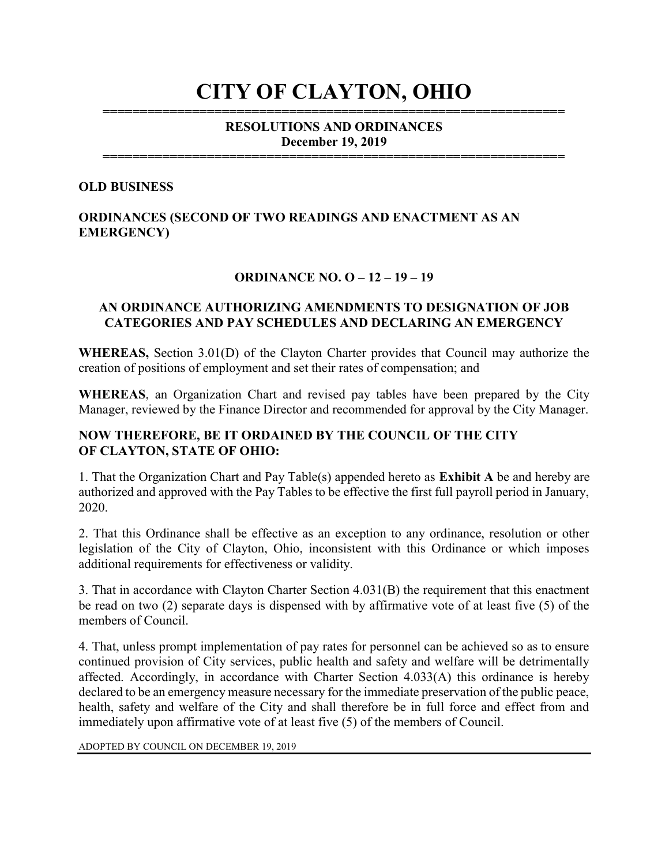# CITY OF CLAYTON, OHIO ==============================================================

## RESOLUTIONS AND ORDINANCES December 19, 2019

==============================================================

#### OLD BUSINESS

# ORDINANCES (SECOND OF TWO READINGS AND ENACTMENT AS AN EMERGENCY)

## ORDINANCE NO. O – 12 – 19 – 19

# AN ORDINANCE AUTHORIZING AMENDMENTS TO DESIGNATION OF JOB CATEGORIES AND PAY SCHEDULES AND DECLARING AN EMERGENCY

WHEREAS, Section 3.01(D) of the Clayton Charter provides that Council may authorize the creation of positions of employment and set their rates of compensation; and

WHEREAS, an Organization Chart and revised pay tables have been prepared by the City Manager, reviewed by the Finance Director and recommended for approval by the City Manager.

# NOW THEREFORE, BE IT ORDAINED BY THE COUNCIL OF THE CITY OF CLAYTON, STATE OF OHIO:

1. That the Organization Chart and Pay Table(s) appended hereto as Exhibit A be and hereby are authorized and approved with the Pay Tables to be effective the first full payroll period in January, 2020.

2. That this Ordinance shall be effective as an exception to any ordinance, resolution or other legislation of the City of Clayton, Ohio, inconsistent with this Ordinance or which imposes additional requirements for effectiveness or validity.

3. That in accordance with Clayton Charter Section 4.031(B) the requirement that this enactment be read on two (2) separate days is dispensed with by affirmative vote of at least five (5) of the members of Council.

4. That, unless prompt implementation of pay rates for personnel can be achieved so as to ensure continued provision of City services, public health and safety and welfare will be detrimentally affected. Accordingly, in accordance with Charter Section 4.033(A) this ordinance is hereby declared to be an emergency measure necessary for the immediate preservation of the public peace, health, safety and welfare of the City and shall therefore be in full force and effect from and immediately upon affirmative vote of at least five (5) of the members of Council.

ADOPTED BY COUNCIL ON DECEMBER 19, 2019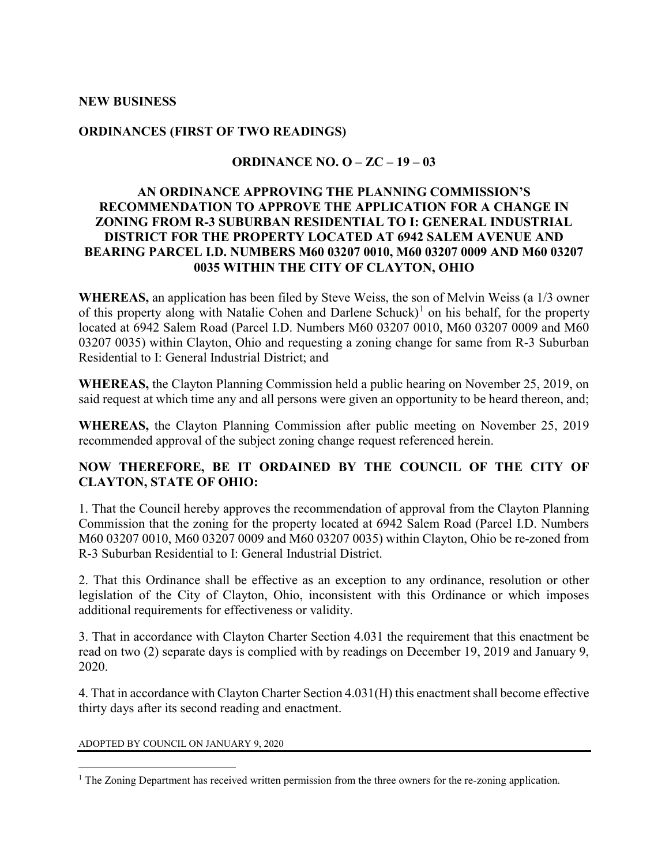### NEW BUSINESS

## ORDINANCES (FIRST OF TWO READINGS)

## ORDINANCE NO. O – ZC – 19 – 03

# AN ORDINANCE APPROVING THE PLANNING COMMISSION'S RECOMMENDATION TO APPROVE THE APPLICATION FOR A CHANGE IN ZONING FROM R-3 SUBURBAN RESIDENTIAL TO I: GENERAL INDUSTRIAL DISTRICT FOR THE PROPERTY LOCATED AT 6942 SALEM AVENUE AND BEARING PARCEL I.D. NUMBERS M60 03207 0010, M60 03207 0009 AND M60 03207 0035 WITHIN THE CITY OF CLAYTON, OHIO

WHEREAS, an application has been filed by Steve Weiss, the son of Melvin Weiss (a 1/3 owner of this property along with Natalie Cohen and Darlene Schuck)<sup>1</sup> on his behalf, for the property located at 6942 Salem Road (Parcel I.D. Numbers M60 03207 0010, M60 03207 0009 and M60 03207 0035) within Clayton, Ohio and requesting a zoning change for same from R-3 Suburban Residential to I: General Industrial District; and

WHEREAS, the Clayton Planning Commission held a public hearing on November 25, 2019, on said request at which time any and all persons were given an opportunity to be heard thereon, and;

WHEREAS, the Clayton Planning Commission after public meeting on November 25, 2019 recommended approval of the subject zoning change request referenced herein.

# NOW THEREFORE, BE IT ORDAINED BY THE COUNCIL OF THE CITY OF CLAYTON, STATE OF OHIO:

1. That the Council hereby approves the recommendation of approval from the Clayton Planning Commission that the zoning for the property located at 6942 Salem Road (Parcel I.D. Numbers M60 03207 0010, M60 03207 0009 and M60 03207 0035) within Clayton, Ohio be re-zoned from R-3 Suburban Residential to I: General Industrial District.

2. That this Ordinance shall be effective as an exception to any ordinance, resolution or other legislation of the City of Clayton, Ohio, inconsistent with this Ordinance or which imposes additional requirements for effectiveness or validity.

3. That in accordance with Clayton Charter Section 4.031 the requirement that this enactment be read on two (2) separate days is complied with by readings on December 19, 2019 and January 9, 2020.

4. That in accordance with Clayton Charter Section 4.031(H) this enactment shall become effective thirty days after its second reading and enactment.

#### ADOPTED BY COUNCIL ON JANUARY 9, 2020

 $\overline{a}$ 

<sup>&</sup>lt;sup>1</sup> The Zoning Department has received written permission from the three owners for the re-zoning application.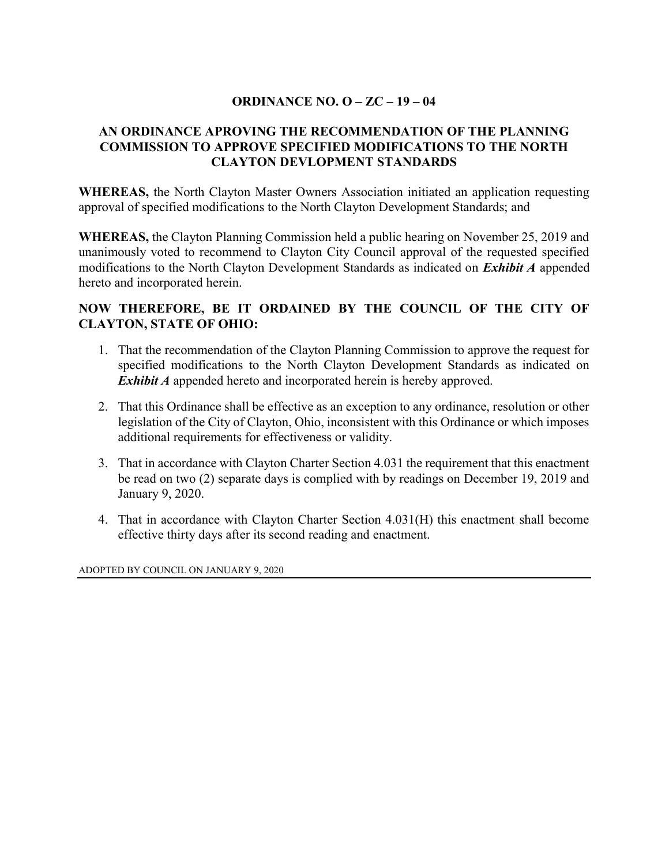# ORDINANCE NO. O – ZC – 19 – 04

# AN ORDINANCE APROVING THE RECOMMENDATION OF THE PLANNING COMMISSION TO APPROVE SPECIFIED MODIFICATIONS TO THE NORTH CLAYTON DEVLOPMENT STANDARDS

WHEREAS, the North Clayton Master Owners Association initiated an application requesting approval of specified modifications to the North Clayton Development Standards; and

WHEREAS, the Clayton Planning Commission held a public hearing on November 25, 2019 and unanimously voted to recommend to Clayton City Council approval of the requested specified modifications to the North Clayton Development Standards as indicated on Exhibit A appended hereto and incorporated herein.

# NOW THEREFORE, BE IT ORDAINED BY THE COUNCIL OF THE CITY OF CLAYTON, STATE OF OHIO:

- 1. That the recommendation of the Clayton Planning Commission to approve the request for specified modifications to the North Clayton Development Standards as indicated on **Exhibit A** appended hereto and incorporated herein is hereby approved.
- 2. That this Ordinance shall be effective as an exception to any ordinance, resolution or other legislation of the City of Clayton, Ohio, inconsistent with this Ordinance or which imposes additional requirements for effectiveness or validity.
- 3. That in accordance with Clayton Charter Section 4.031 the requirement that this enactment be read on two (2) separate days is complied with by readings on December 19, 2019 and January 9, 2020.
- 4. That in accordance with Clayton Charter Section 4.031(H) this enactment shall become effective thirty days after its second reading and enactment.

ADOPTED BY COUNCIL ON JANUARY 9, 2020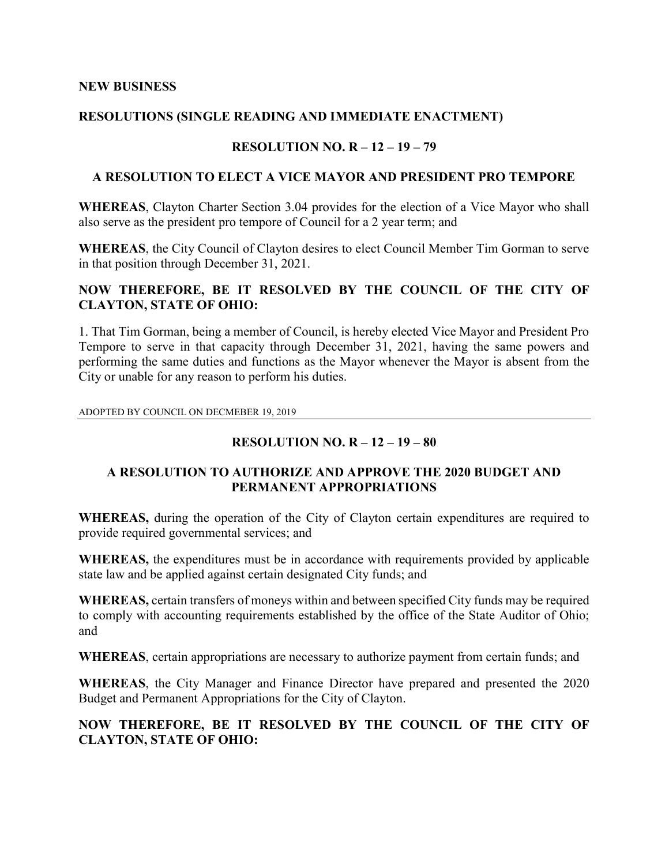#### NEW BUSINESS

## RESOLUTIONS (SINGLE READING AND IMMEDIATE ENACTMENT)

### RESOLUTION NO.  $R - 12 - 19 - 79$

#### A RESOLUTION TO ELECT A VICE MAYOR AND PRESIDENT PRO TEMPORE

WHEREAS, Clayton Charter Section 3.04 provides for the election of a Vice Mayor who shall also serve as the president pro tempore of Council for a 2 year term; and

WHEREAS, the City Council of Clayton desires to elect Council Member Tim Gorman to serve in that position through December 31, 2021.

## NOW THEREFORE, BE IT RESOLVED BY THE COUNCIL OF THE CITY OF CLAYTON, STATE OF OHIO:

1. That Tim Gorman, being a member of Council, is hereby elected Vice Mayor and President Pro Tempore to serve in that capacity through December 31, 2021, having the same powers and performing the same duties and functions as the Mayor whenever the Mayor is absent from the City or unable for any reason to perform his duties.

ADOPTED BY COUNCIL ON DECMEBER 19, 2019

## RESOLUTION NO. R – 12 – 19 – 80

## A RESOLUTION TO AUTHORIZE AND APPROVE THE 2020 BUDGET AND PERMANENT APPROPRIATIONS

WHEREAS, during the operation of the City of Clayton certain expenditures are required to provide required governmental services; and

WHEREAS, the expenditures must be in accordance with requirements provided by applicable state law and be applied against certain designated City funds; and

WHEREAS, certain transfers of moneys within and between specified City funds may be required to comply with accounting requirements established by the office of the State Auditor of Ohio; and

WHEREAS, certain appropriations are necessary to authorize payment from certain funds; and

WHEREAS, the City Manager and Finance Director have prepared and presented the 2020 Budget and Permanent Appropriations for the City of Clayton.

# NOW THEREFORE, BE IT RESOLVED BY THE COUNCIL OF THE CITY OF CLAYTON, STATE OF OHIO: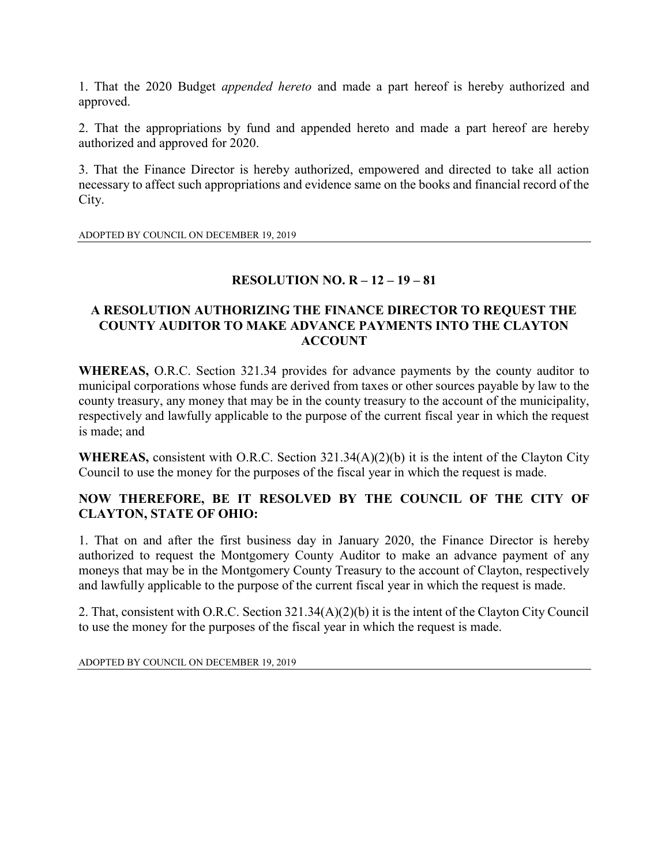1. That the 2020 Budget appended hereto and made a part hereof is hereby authorized and approved.

2. That the appropriations by fund and appended hereto and made a part hereof are hereby authorized and approved for 2020.

3. That the Finance Director is hereby authorized, empowered and directed to take all action necessary to affect such appropriations and evidence same on the books and financial record of the City.

ADOPTED BY COUNCIL ON DECEMBER 19, 2019

# RESOLUTION NO. R – 12 – 19 – 81

# A RESOLUTION AUTHORIZING THE FINANCE DIRECTOR TO REQUEST THE COUNTY AUDITOR TO MAKE ADVANCE PAYMENTS INTO THE CLAYTON ACCOUNT

WHEREAS, O.R.C. Section 321.34 provides for advance payments by the county auditor to municipal corporations whose funds are derived from taxes or other sources payable by law to the county treasury, any money that may be in the county treasury to the account of the municipality, respectively and lawfully applicable to the purpose of the current fiscal year in which the request is made; and

WHEREAS, consistent with O.R.C. Section 321.34(A)(2)(b) it is the intent of the Clayton City Council to use the money for the purposes of the fiscal year in which the request is made.

# NOW THEREFORE, BE IT RESOLVED BY THE COUNCIL OF THE CITY OF CLAYTON, STATE OF OHIO:

1. That on and after the first business day in January 2020, the Finance Director is hereby authorized to request the Montgomery County Auditor to make an advance payment of any moneys that may be in the Montgomery County Treasury to the account of Clayton, respectively and lawfully applicable to the purpose of the current fiscal year in which the request is made.

2. That, consistent with O.R.C. Section 321.34(A)(2)(b) it is the intent of the Clayton City Council to use the money for the purposes of the fiscal year in which the request is made.

ADOPTED BY COUNCIL ON DECEMBER 19, 2019